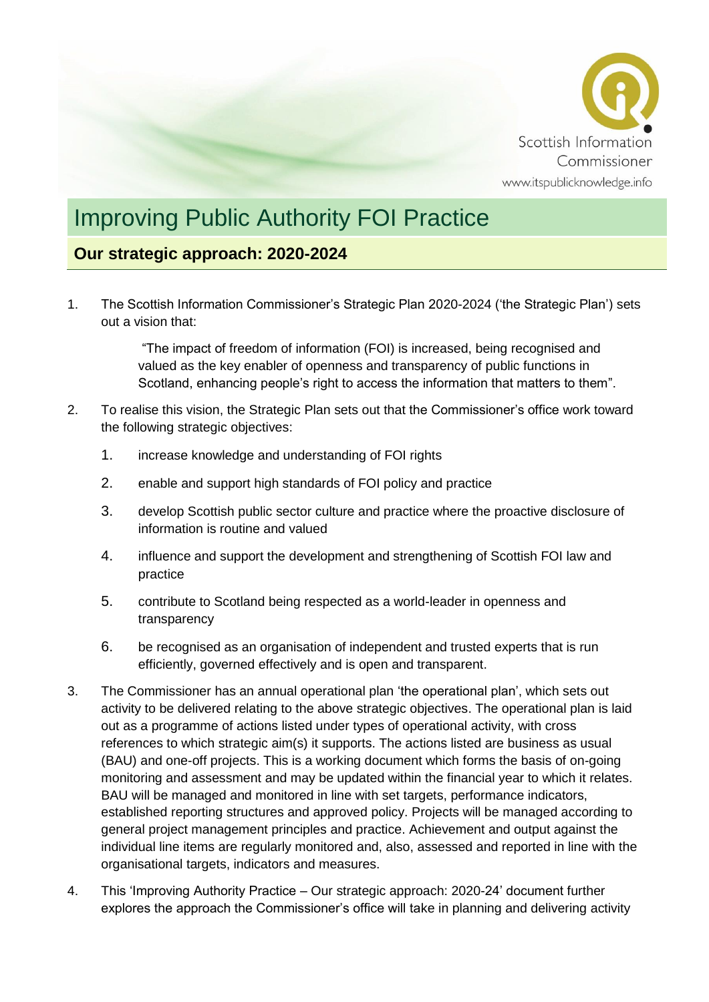

# Improving Public Authority FOI Practice

### **Our strategic approach: 2020-2024**

1. The Scottish Information Commissioner's Strategic Plan 2020-2024 ('the Strategic Plan') sets out a vision that:

> "The impact of freedom of information (FOI) is increased, being recognised and valued as the key enabler of openness and transparency of public functions in Scotland, enhancing people's right to access the information that matters to them".

- 2. To realise this vision, the Strategic Plan sets out that the Commissioner's office work toward the following strategic objectives:
	- 1. increase knowledge and understanding of FOI rights
	- 2. enable and support high standards of FOI policy and practice
	- 3. develop Scottish public sector culture and practice where the proactive disclosure of information is routine and valued
	- 4. influence and support the development and strengthening of Scottish FOI law and practice
	- 5. contribute to Scotland being respected as a world-leader in openness and transparency
	- 6. be recognised as an organisation of independent and trusted experts that is run efficiently, governed effectively and is open and transparent.
- 3. The Commissioner has an annual operational plan 'the operational plan', which sets out activity to be delivered relating to the above strategic objectives. The operational plan is laid out as a programme of actions listed under types of operational activity, with cross references to which strategic aim(s) it supports. The actions listed are business as usual (BAU) and one-off projects. This is a working document which forms the basis of on-going monitoring and assessment and may be updated within the financial year to which it relates. BAU will be managed and monitored in line with set targets, performance indicators, established reporting structures and approved policy. Projects will be managed according to general project management principles and practice. Achievement and output against the individual line items are regularly monitored and, also, assessed and reported in line with the organisational targets, indicators and measures.
- 4. This 'Improving Authority Practice Our strategic approach: 2020-24' document further explores the approach the Commissioner's office will take in planning and delivering activity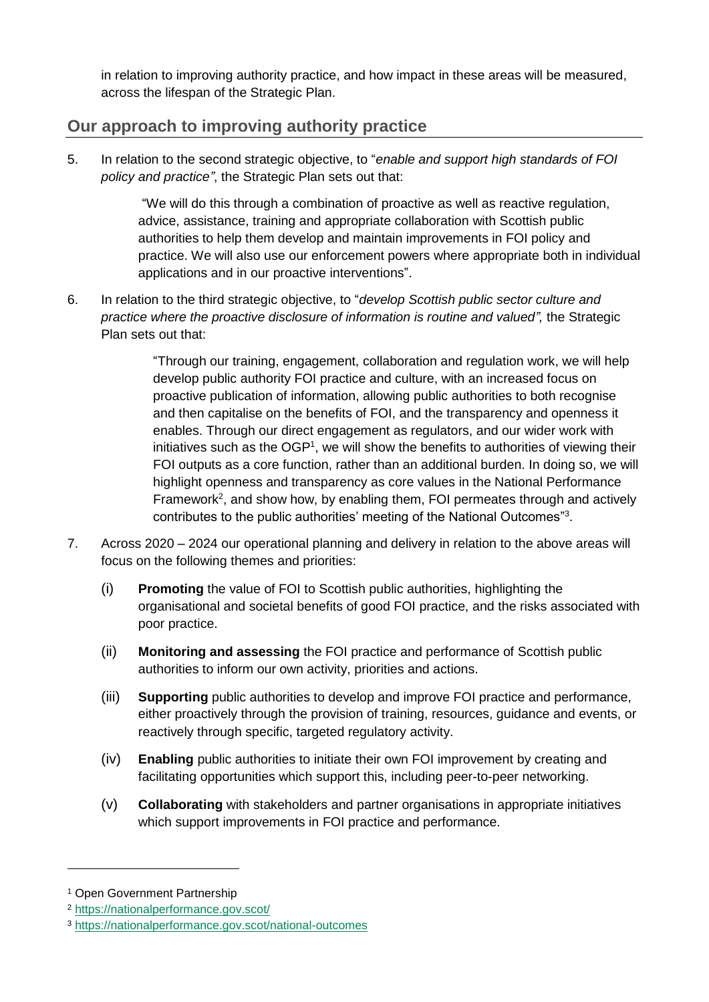in relation to improving authority practice, and how impact in these areas will be measured, across the lifespan of the Strategic Plan.

## **Our approach to improving authority practice**

5. In relation to the second strategic objective, to "*enable and support high standards of FOI policy and practice"*, the Strategic Plan sets out that:

> "We will do this through a combination of proactive as well as reactive regulation, advice, assistance, training and appropriate collaboration with Scottish public authorities to help them develop and maintain improvements in FOI policy and practice. We will also use our enforcement powers where appropriate both in individual applications and in our proactive interventions".

6. In relation to the third strategic objective, to "*develop Scottish public sector culture and practice where the proactive disclosure of information is routine and valued"*, the Strategic Plan sets out that:

> "Through our training, engagement, collaboration and regulation work, we will help develop public authority FOI practice and culture, with an increased focus on proactive publication of information, allowing public authorities to both recognise and then capitalise on the benefits of FOI, and the transparency and openness it enables. Through our direct engagement as regulators, and our wider work with initiatives such as the  $OGP<sup>1</sup>$ , we will show the benefits to authorities of viewing their FOI outputs as a core function, rather than an additional burden. In doing so, we will highlight openness and transparency as core values in the National Performance Framework<sup>2</sup>, and show how, by enabling them, FOI permeates through and actively contributes to the public authorities' meeting of the National Outcomes"3.

- 7. Across 2020 2024 our operational planning and delivery in relation to the above areas will focus on the following themes and priorities:
	- (i) **Promoting** the value of FOI to Scottish public authorities, highlighting the organisational and societal benefits of good FOI practice, and the risks associated with poor practice.
	- (ii) **Monitoring and assessing** the FOI practice and performance of Scottish public authorities to inform our own activity, priorities and actions.
	- (iii) **Supporting** public authorities to develop and improve FOI practice and performance, either proactively through the provision of training, resources, guidance and events, or reactively through specific, targeted regulatory activity.
	- (iv) **Enabling** public authorities to initiate their own FOI improvement by creating and facilitating opportunities which support this, including peer-to-peer networking.
	- (v) **Collaborating** with stakeholders and partner organisations in appropriate initiatives which support improvements in FOI practice and performance.

-

<sup>1</sup> Open Government Partnership

<sup>2</sup> <https://nationalperformance.gov.scot/>

<sup>3</sup> <https://nationalperformance.gov.scot/national-outcomes>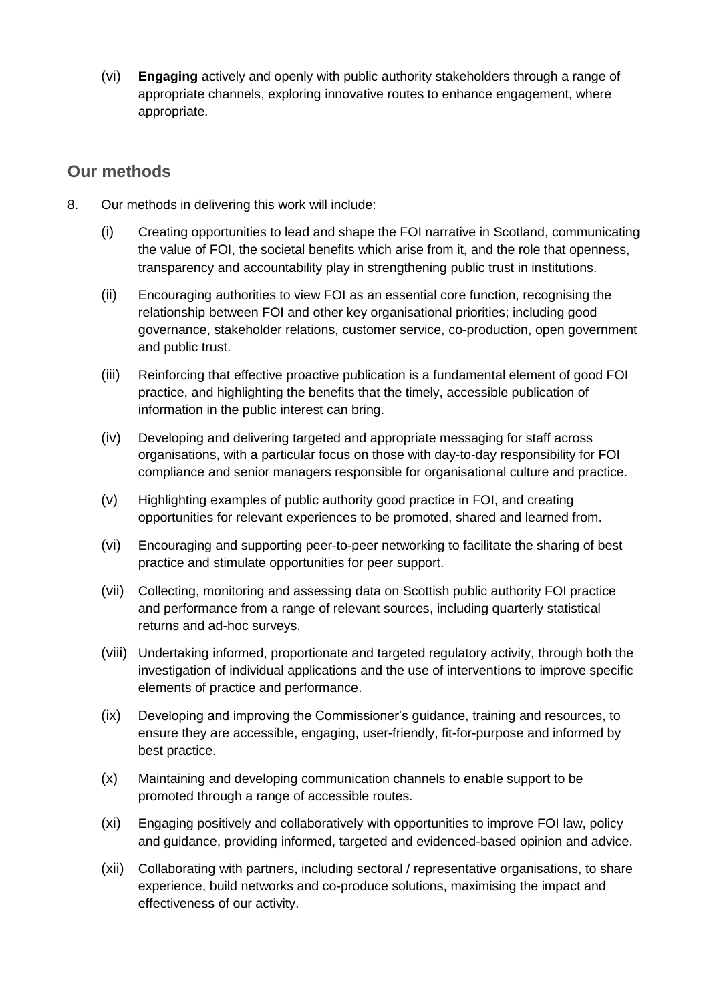(vi) **Engaging** actively and openly with public authority stakeholders through a range of appropriate channels, exploring innovative routes to enhance engagement, where appropriate.

#### **Our methods**

- 8. Our methods in delivering this work will include:
	- (i) Creating opportunities to lead and shape the FOI narrative in Scotland, communicating the value of FOI, the societal benefits which arise from it, and the role that openness, transparency and accountability play in strengthening public trust in institutions.
	- (ii) Encouraging authorities to view FOI as an essential core function, recognising the relationship between FOI and other key organisational priorities; including good governance, stakeholder relations, customer service, co-production, open government and public trust.
	- (iii) Reinforcing that effective proactive publication is a fundamental element of good FOI practice, and highlighting the benefits that the timely, accessible publication of information in the public interest can bring.
	- (iv) Developing and delivering targeted and appropriate messaging for staff across organisations, with a particular focus on those with day-to-day responsibility for FOI compliance and senior managers responsible for organisational culture and practice.
	- (v) Highlighting examples of public authority good practice in FOI, and creating opportunities for relevant experiences to be promoted, shared and learned from.
	- (vi) Encouraging and supporting peer-to-peer networking to facilitate the sharing of best practice and stimulate opportunities for peer support.
	- (vii) Collecting, monitoring and assessing data on Scottish public authority FOI practice and performance from a range of relevant sources, including quarterly statistical returns and ad-hoc surveys.
	- (viii) Undertaking informed, proportionate and targeted regulatory activity, through both the investigation of individual applications and the use of interventions to improve specific elements of practice and performance.
	- (ix) Developing and improving the Commissioner's guidance, training and resources, to ensure they are accessible, engaging, user-friendly, fit-for-purpose and informed by best practice.
	- (x) Maintaining and developing communication channels to enable support to be promoted through a range of accessible routes.
	- (xi) Engaging positively and collaboratively with opportunities to improve FOI law, policy and guidance, providing informed, targeted and evidenced-based opinion and advice.
	- (xii) Collaborating with partners, including sectoral / representative organisations, to share experience, build networks and co-produce solutions, maximising the impact and effectiveness of our activity.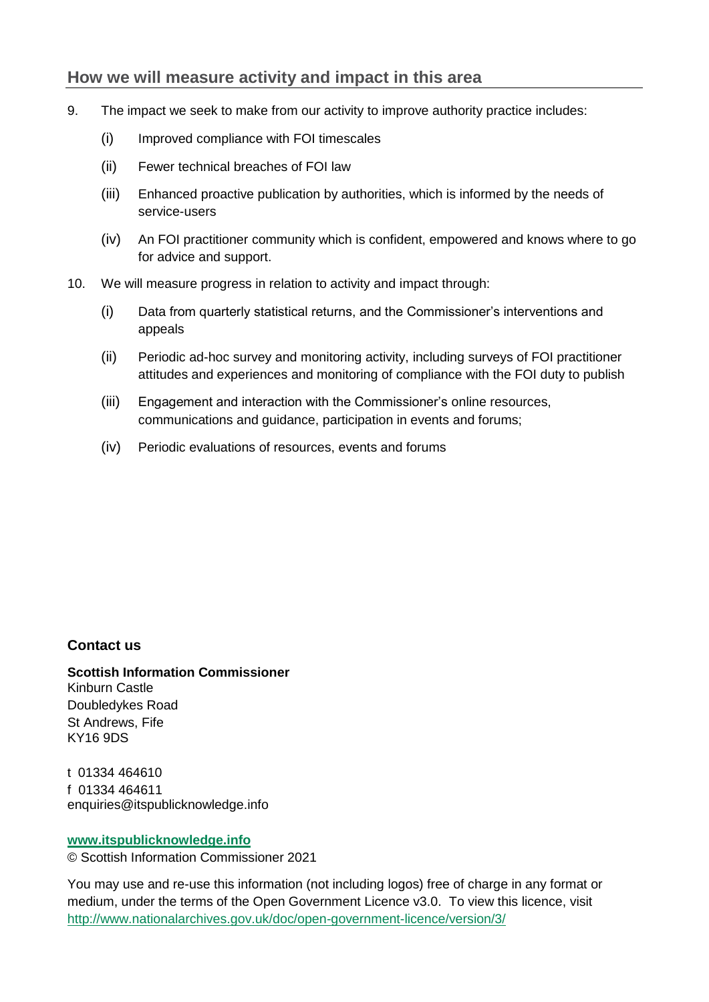### **How we will measure activity and impact in this area**

- 9. The impact we seek to make from our activity to improve authority practice includes:
	- (i) Improved compliance with FOI timescales
	- (ii) Fewer technical breaches of FOI law
	- (iii) Enhanced proactive publication by authorities, which is informed by the needs of service-users
	- (iv) An FOI practitioner community which is confident, empowered and knows where to go for advice and support.
- 10. We will measure progress in relation to activity and impact through:
	- (i) Data from quarterly statistical returns, and the Commissioner's interventions and appeals
	- (ii) Periodic ad-hoc survey and monitoring activity, including surveys of FOI practitioner attitudes and experiences and monitoring of compliance with the FOI duty to publish
	- (iii) Engagement and interaction with the Commissioner's online resources, communications and guidance, participation in events and forums;
	- (iv) Periodic evaluations of resources, events and forums

#### **Contact us**

**Scottish Information Commissioner** Kinburn Castle Doubledykes Road St Andrews, Fife KY16 9DS

t 01334 464610 f 01334 464611 enquiries@itspublicknowledge.info

#### **[www.itspublicknowledge.info](http://www.itspublicknowledge.info/)**

© Scottish Information Commissioner 2021

You may use and re-use this information (not including logos) free of charge in any format or medium, under the terms of the Open Government Licence v3.0. To view this licence, visit <http://www.nationalarchives.gov.uk/doc/open-government-licence/version/3/>